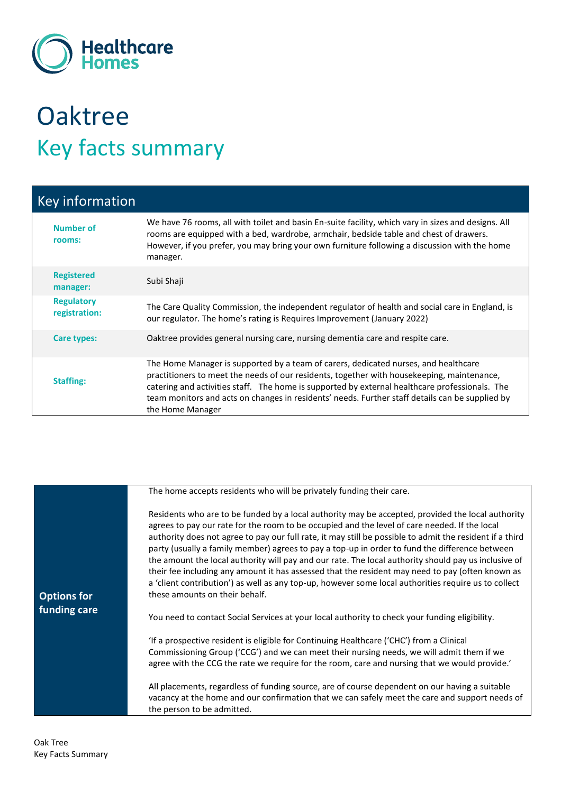

## **Oaktree** Key facts summary

| Key information                    |                                                                                                                                                                                                                                                                                                                                                                                                            |
|------------------------------------|------------------------------------------------------------------------------------------------------------------------------------------------------------------------------------------------------------------------------------------------------------------------------------------------------------------------------------------------------------------------------------------------------------|
| <b>Number of</b><br>rooms:         | We have 76 rooms, all with toilet and basin En-suite facility, which vary in sizes and designs. All<br>rooms are equipped with a bed, wardrobe, armchair, bedside table and chest of drawers.<br>However, if you prefer, you may bring your own furniture following a discussion with the home<br>manager.                                                                                                 |
| <b>Registered</b><br>manager:      | Subi Shaji                                                                                                                                                                                                                                                                                                                                                                                                 |
| <b>Regulatory</b><br>registration: | The Care Quality Commission, the independent regulator of health and social care in England, is<br>our regulator. The home's rating is Requires Improvement (January 2022)                                                                                                                                                                                                                                 |
| <b>Care types:</b>                 | Oaktree provides general nursing care, nursing dementia care and respite care.                                                                                                                                                                                                                                                                                                                             |
| <b>Staffing:</b>                   | The Home Manager is supported by a team of carers, dedicated nurses, and healthcare<br>practitioners to meet the needs of our residents, together with housekeeping, maintenance,<br>catering and activities staff. The home is supported by external healthcare professionals. The<br>team monitors and acts on changes in residents' needs. Further staff details can be supplied by<br>the Home Manager |

|                                    | The home accepts residents who will be privately funding their care.                                                                                                                                                                                                                                                                                                                                                                                                                                                                                                                                                                                                                                                                                                   |
|------------------------------------|------------------------------------------------------------------------------------------------------------------------------------------------------------------------------------------------------------------------------------------------------------------------------------------------------------------------------------------------------------------------------------------------------------------------------------------------------------------------------------------------------------------------------------------------------------------------------------------------------------------------------------------------------------------------------------------------------------------------------------------------------------------------|
| <b>Options for</b><br>funding care | Residents who are to be funded by a local authority may be accepted, provided the local authority<br>agrees to pay our rate for the room to be occupied and the level of care needed. If the local<br>authority does not agree to pay our full rate, it may still be possible to admit the resident if a third<br>party (usually a family member) agrees to pay a top-up in order to fund the difference between<br>the amount the local authority will pay and our rate. The local authority should pay us inclusive of<br>their fee including any amount it has assessed that the resident may need to pay (often known as<br>a 'client contribution') as well as any top-up, however some local authorities require us to collect<br>these amounts on their behalf. |
|                                    | You need to contact Social Services at your local authority to check your funding eligibility.                                                                                                                                                                                                                                                                                                                                                                                                                                                                                                                                                                                                                                                                         |
|                                    | 'If a prospective resident is eligible for Continuing Healthcare ('CHC') from a Clinical<br>Commissioning Group ('CCG') and we can meet their nursing needs, we will admit them if we<br>agree with the CCG the rate we require for the room, care and nursing that we would provide.'                                                                                                                                                                                                                                                                                                                                                                                                                                                                                 |
|                                    | All placements, regardless of funding source, are of course dependent on our having a suitable<br>vacancy at the home and our confirmation that we can safely meet the care and support needs of<br>the person to be admitted.                                                                                                                                                                                                                                                                                                                                                                                                                                                                                                                                         |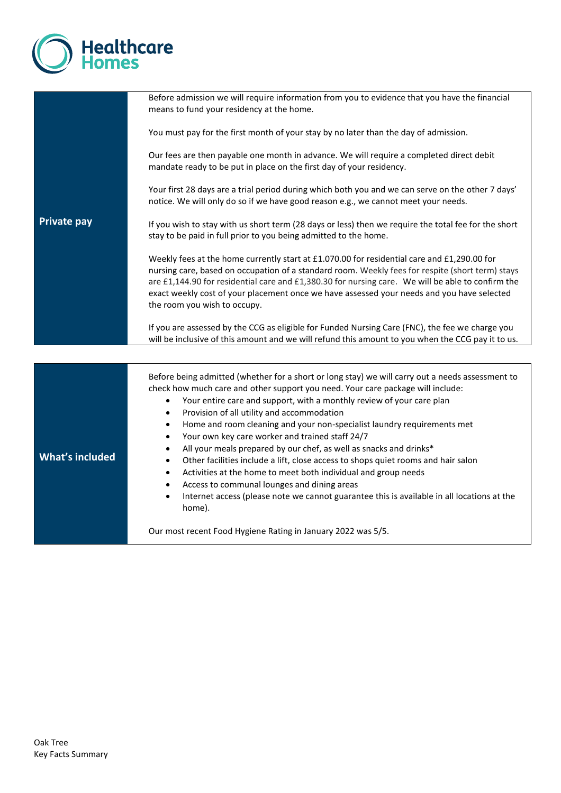

|                        | Before admission we will require information from you to evidence that you have the financial<br>means to fund your residency at the home.                                                                                                                                                                                                                                                                                                                                                                                                                                                                                                                                                                                                                                                                                                                                                                                        |
|------------------------|-----------------------------------------------------------------------------------------------------------------------------------------------------------------------------------------------------------------------------------------------------------------------------------------------------------------------------------------------------------------------------------------------------------------------------------------------------------------------------------------------------------------------------------------------------------------------------------------------------------------------------------------------------------------------------------------------------------------------------------------------------------------------------------------------------------------------------------------------------------------------------------------------------------------------------------|
|                        | You must pay for the first month of your stay by no later than the day of admission.                                                                                                                                                                                                                                                                                                                                                                                                                                                                                                                                                                                                                                                                                                                                                                                                                                              |
|                        | Our fees are then payable one month in advance. We will require a completed direct debit<br>mandate ready to be put in place on the first day of your residency.                                                                                                                                                                                                                                                                                                                                                                                                                                                                                                                                                                                                                                                                                                                                                                  |
| <b>Private pay</b>     | Your first 28 days are a trial period during which both you and we can serve on the other 7 days'<br>notice. We will only do so if we have good reason e.g., we cannot meet your needs.                                                                                                                                                                                                                                                                                                                                                                                                                                                                                                                                                                                                                                                                                                                                           |
|                        | If you wish to stay with us short term (28 days or less) then we require the total fee for the short<br>stay to be paid in full prior to you being admitted to the home.                                                                                                                                                                                                                                                                                                                                                                                                                                                                                                                                                                                                                                                                                                                                                          |
|                        | Weekly fees at the home currently start at £1.070.00 for residential care and £1,290.00 for<br>nursing care, based on occupation of a standard room. Weekly fees for respite (short term) stays<br>are £1,144.90 for residential care and £1,380.30 for nursing care. We will be able to confirm the<br>exact weekly cost of your placement once we have assessed your needs and you have selected<br>the room you wish to occupy.                                                                                                                                                                                                                                                                                                                                                                                                                                                                                                |
|                        | If you are assessed by the CCG as eligible for Funded Nursing Care (FNC), the fee we charge you<br>will be inclusive of this amount and we will refund this amount to you when the CCG pay it to us.                                                                                                                                                                                                                                                                                                                                                                                                                                                                                                                                                                                                                                                                                                                              |
|                        |                                                                                                                                                                                                                                                                                                                                                                                                                                                                                                                                                                                                                                                                                                                                                                                                                                                                                                                                   |
| <b>What's included</b> | Before being admitted (whether for a short or long stay) we will carry out a needs assessment to<br>check how much care and other support you need. Your care package will include:<br>Your entire care and support, with a monthly review of your care plan<br>$\bullet$<br>Provision of all utility and accommodation<br>$\bullet$<br>Home and room cleaning and your non-specialist laundry requirements met<br>$\bullet$<br>Your own key care worker and trained staff 24/7<br>$\bullet$<br>All your meals prepared by our chef, as well as snacks and drinks*<br>٠<br>Other facilities include a lift, close access to shops quiet rooms and hair salon<br>$\bullet$<br>Activities at the home to meet both individual and group needs<br>$\bullet$<br>Access to communal lounges and dining areas<br>٠<br>Internet access (please note we cannot guarantee this is available in all locations at the<br>$\bullet$<br>home). |
|                        | Our most recent Food Hygiene Rating in January 2022 was 5/5.                                                                                                                                                                                                                                                                                                                                                                                                                                                                                                                                                                                                                                                                                                                                                                                                                                                                      |